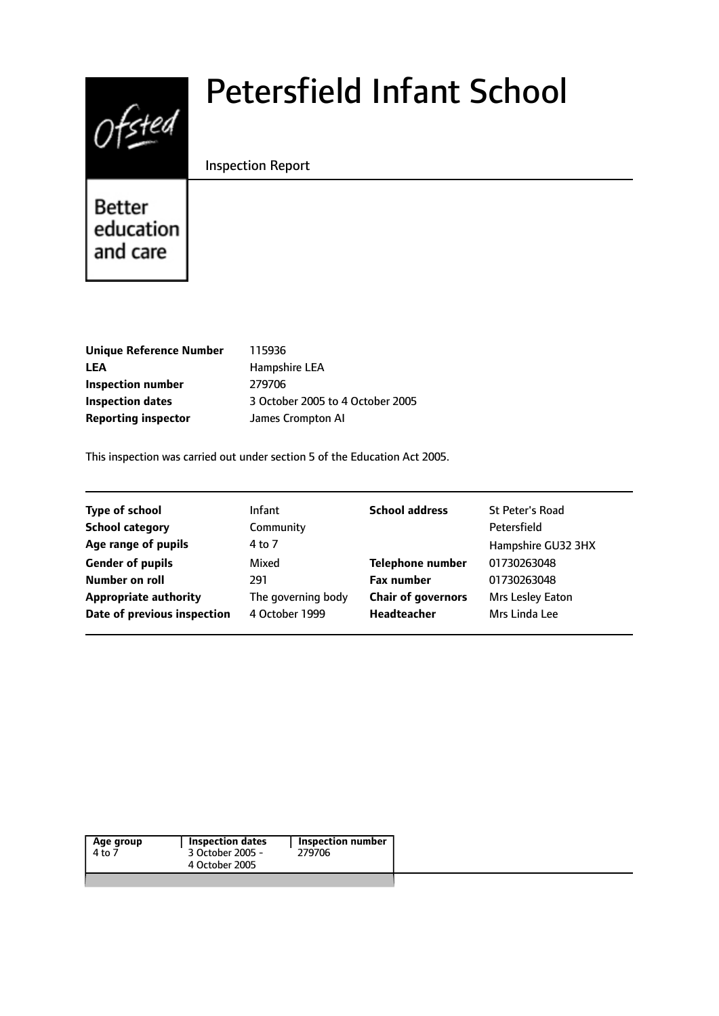

# Petersfield Infant School

#### Inspection Report

Better education and care

| <b>Unique Reference Number</b> |
|--------------------------------|
| <b>LEA</b>                     |
| Inspection number              |
| Inspection dates               |
| <b>Reporting inspector</b>     |

**Unique Reference Number** 115936 **LEA** Hampshire LEA **Inspection number** 279706 **Inspection dates** 3 October 2005 to 4 October 2005 **James Crompton AI** 

This inspection was carried out under section 5 of the Education Act 2005.

| <b>Type of school</b>        | <b>Infant</b>      | <b>School address</b>     | <b>St Peter's Road</b> |
|------------------------------|--------------------|---------------------------|------------------------|
| <b>School category</b>       | Community          |                           | Petersfield            |
| Age range of pupils          | 4 to 7             |                           | Hampshire GU32 3HX     |
| <b>Gender of pupils</b>      | Mixed              | <b>Telephone number</b>   | 01730263048            |
| Number on roll               | 291                | <b>Fax number</b>         | 01730263048            |
| <b>Appropriate authority</b> | The governing body | <b>Chair of governors</b> | Mrs Lesley Eaton       |
| Date of previous inspection  | 4 October 1999     | Headteacher               | Mrs Linda Lee          |
|                              |                    |                           |                        |

| Age group | Inspection dates | Inspection number |
|-----------|------------------|-------------------|
| 4 to 7    | 3 October 2005 - | 279706            |
|           | 4 October 2005   |                   |
|           |                  |                   |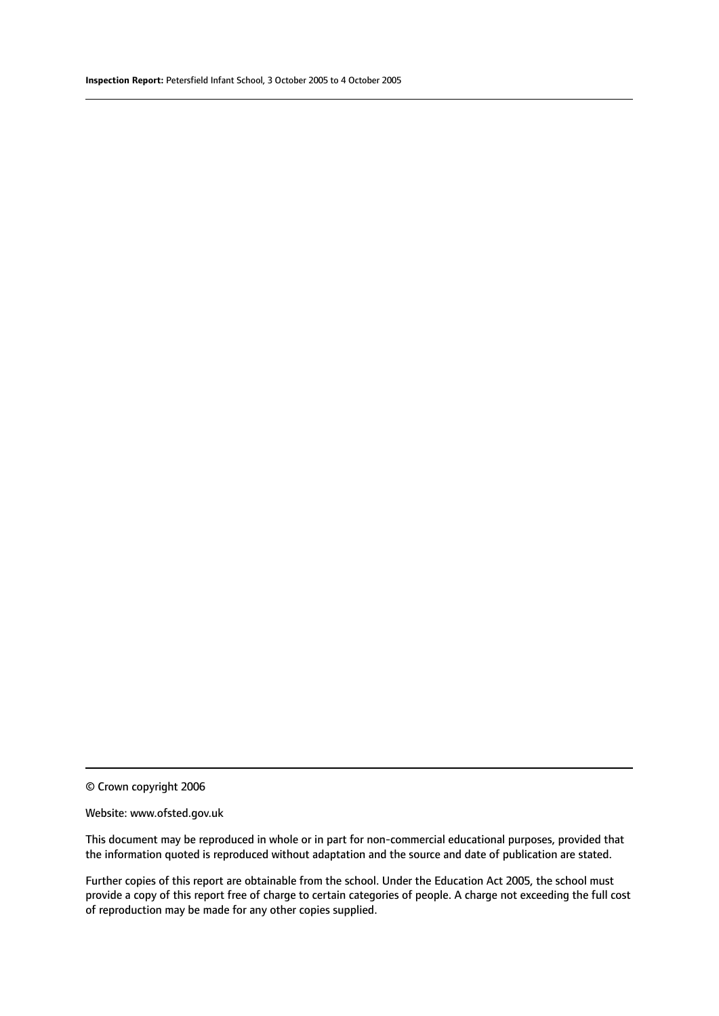© Crown copyright 2006

#### Website: www.ofsted.gov.uk

This document may be reproduced in whole or in part for non-commercial educational purposes, provided that the information quoted is reproduced without adaptation and the source and date of publication are stated.

Further copies of this report are obtainable from the school. Under the Education Act 2005, the school must provide a copy of this report free of charge to certain categories of people. A charge not exceeding the full cost of reproduction may be made for any other copies supplied.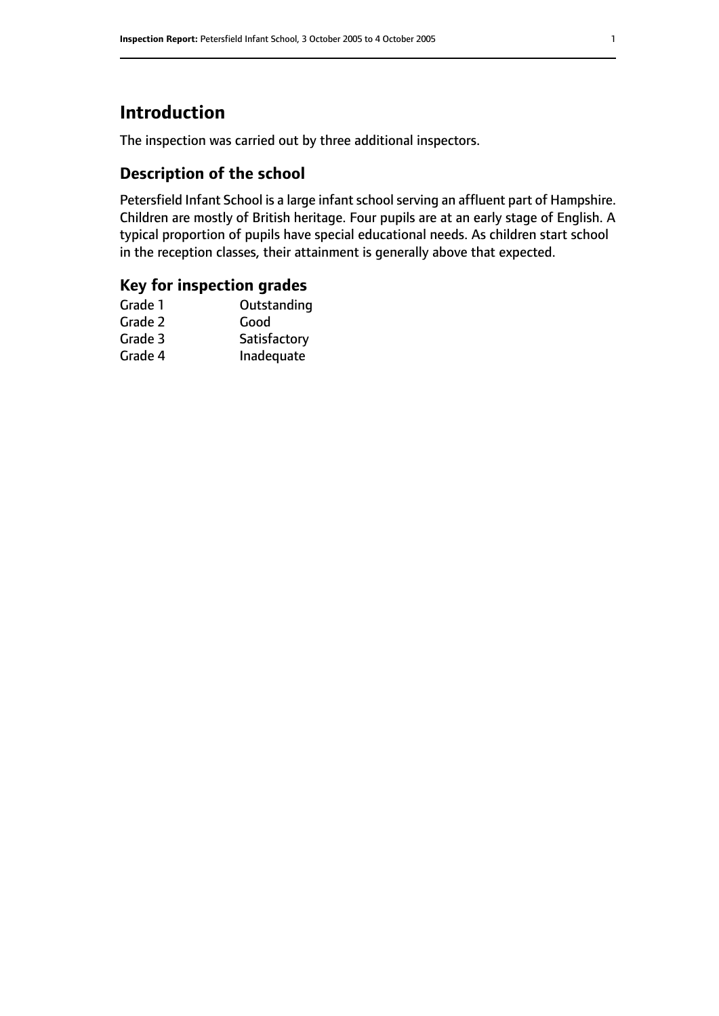## **Introduction**

The inspection was carried out by three additional inspectors.

## **Description of the school**

Petersfield Infant School is a large infant school serving an affluent part of Hampshire. Children are mostly of British heritage. Four pupils are at an early stage of English. A typical proportion of pupils have special educational needs. As children start school in the reception classes, their attainment is generally above that expected.

### **Key for inspection grades**

| Outstanding  |
|--------------|
| Good         |
| Satisfactory |
| Inadequate   |
|              |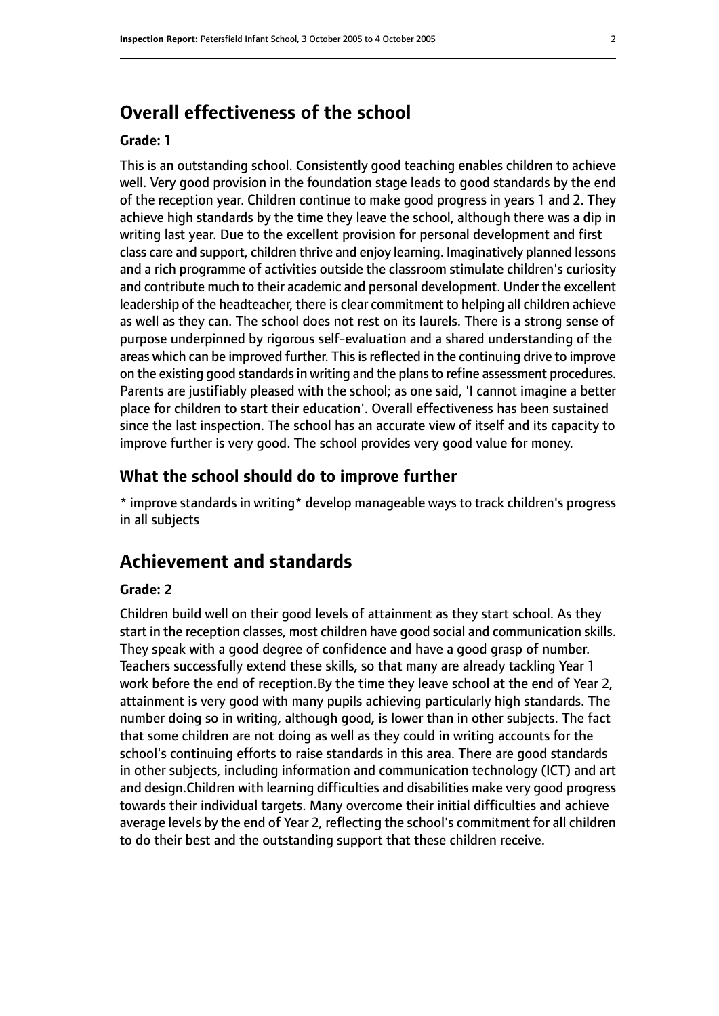## **Overall effectiveness of the school**

#### **Grade: 1**

This is an outstanding school. Consistently good teaching enables children to achieve well. Very good provision in the foundation stage leads to good standards by the end of the reception year. Children continue to make good progress in years 1 and 2. They achieve high standards by the time they leave the school, although there was a dip in writing last year. Due to the excellent provision for personal development and first class care and support, children thrive and enjoy learning. Imaginatively planned lessons and a rich programme of activities outside the classroom stimulate children's curiosity and contribute much to their academic and personal development. Under the excellent leadership of the headteacher, there is clear commitment to helping all children achieve as well as they can. The school does not rest on its laurels. There is a strong sense of purpose underpinned by rigorous self-evaluation and a shared understanding of the areas which can be improved further. This is reflected in the continuing drive to improve on the existing good standards in writing and the plans to refine assessment procedures. Parents are justifiably pleased with the school; as one said, 'I cannot imagine a better place for children to start their education'. Overall effectiveness has been sustained since the last inspection. The school has an accurate view of itself and its capacity to improve further is very good. The school provides very good value for money.

#### **What the school should do to improve further**

\* improve standards in writing\* develop manageable ways to track children's progress in all subjects

## **Achievement and standards**

#### **Grade: 2**

Children build well on their good levels of attainment as they start school. As they start in the reception classes, most children have good social and communication skills. They speak with a good degree of confidence and have a good grasp of number. Teachers successfully extend these skills, so that many are already tackling Year 1 work before the end of reception.By the time they leave school at the end of Year 2, attainment is very good with many pupils achieving particularly high standards. The number doing so in writing, although good, is lower than in other subjects. The fact that some children are not doing as well as they could in writing accounts for the school's continuing efforts to raise standards in this area. There are good standards in other subjects, including information and communication technology (ICT) and art and design.Children with learning difficulties and disabilities make very good progress towards their individual targets. Many overcome their initial difficulties and achieve average levels by the end of Year 2, reflecting the school's commitment for all children to do their best and the outstanding support that these children receive.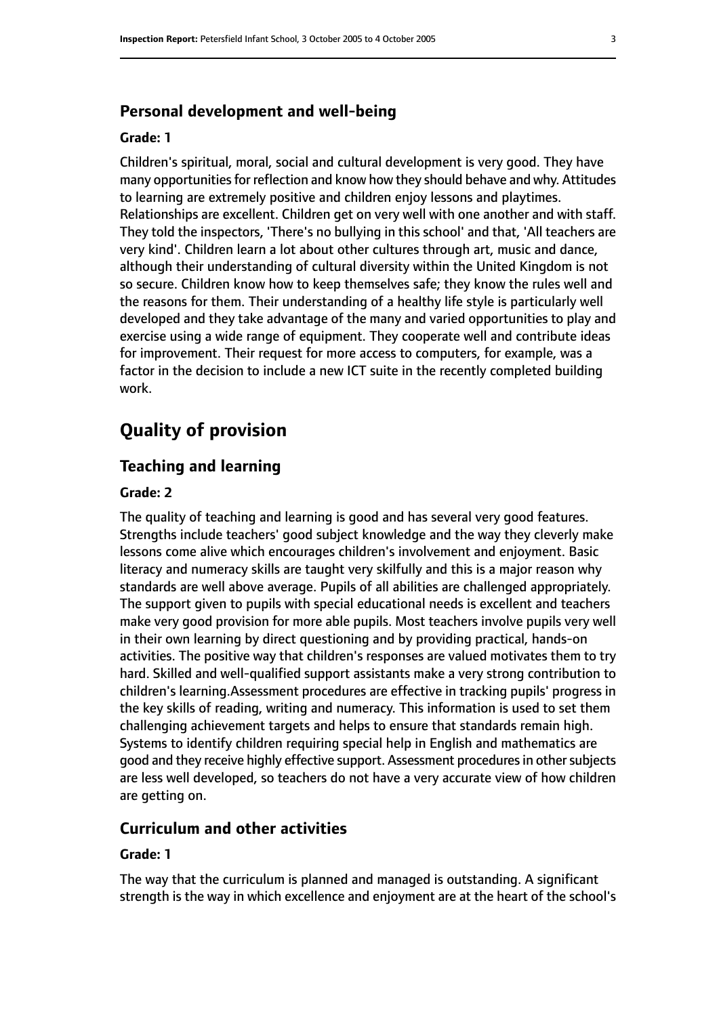#### **Personal development and well-being**

#### **Grade: 1**

Children's spiritual, moral, social and cultural development is very good. They have many opportunities for reflection and know how they should behave and why. Attitudes to learning are extremely positive and children enjoy lessons and playtimes. Relationships are excellent. Children get on very well with one another and with staff. They told the inspectors, 'There's no bullying in this school' and that, 'All teachers are very kind'. Children learn a lot about other cultures through art, music and dance, although their understanding of cultural diversity within the United Kingdom is not so secure. Children know how to keep themselves safe; they know the rules well and the reasons for them. Their understanding of a healthy life style is particularly well developed and they take advantage of the many and varied opportunities to play and exercise using a wide range of equipment. They cooperate well and contribute ideas for improvement. Their request for more access to computers, for example, was a factor in the decision to include a new ICT suite in the recently completed building work.

## **Quality of provision**

#### **Teaching and learning**

#### **Grade: 2**

The quality of teaching and learning is good and has several very good features. Strengths include teachers' good subject knowledge and the way they cleverly make lessons come alive which encourages children's involvement and enjoyment. Basic literacy and numeracy skills are taught very skilfully and this is a major reason why standards are well above average. Pupils of all abilities are challenged appropriately. The support given to pupils with special educational needs is excellent and teachers make very good provision for more able pupils. Most teachers involve pupils very well in their own learning by direct questioning and by providing practical, hands-on activities. The positive way that children's responses are valued motivates them to try hard. Skilled and well-qualified support assistants make a very strong contribution to children's learning.Assessment procedures are effective in tracking pupils' progress in the key skills of reading, writing and numeracy. This information is used to set them challenging achievement targets and helps to ensure that standards remain high. Systems to identify children requiring special help in English and mathematics are good and they receive highly effective support. Assessment procedures in other subjects are less well developed, so teachers do not have a very accurate view of how children are getting on.

#### **Curriculum and other activities**

#### **Grade: 1**

The way that the curriculum is planned and managed is outstanding. A significant strength is the way in which excellence and enjoyment are at the heart of the school's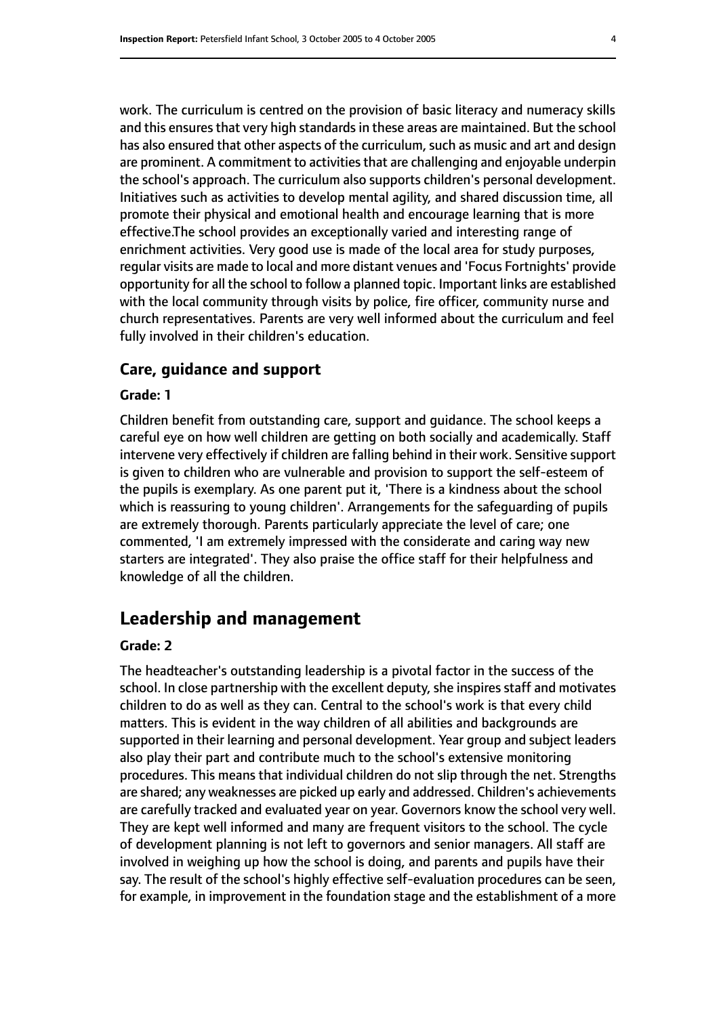work. The curriculum is centred on the provision of basic literacy and numeracy skills and this ensures that very high standards in these areas are maintained. But the school has also ensured that other aspects of the curriculum, such as music and art and design are prominent. A commitment to activities that are challenging and enjoyable underpin the school's approach. The curriculum also supports children's personal development. Initiatives such as activities to develop mental agility, and shared discussion time, all promote their physical and emotional health and encourage learning that is more effective.The school provides an exceptionally varied and interesting range of enrichment activities. Very good use is made of the local area for study purposes, regular visits are made to local and more distant venues and 'Focus Fortnights' provide opportunity for all the school to follow a planned topic. Important links are established with the local community through visits by police, fire officer, community nurse and church representatives. Parents are very well informed about the curriculum and feel fully involved in their children's education.

#### **Care, guidance and support**

#### **Grade: 1**

Children benefit from outstanding care, support and guidance. The school keeps a careful eye on how well children are getting on both socially and academically. Staff intervene very effectively if children are falling behind in their work. Sensitive support is given to children who are vulnerable and provision to support the self-esteem of the pupils is exemplary. As one parent put it, 'There is a kindness about the school which is reassuring to young children'. Arrangements for the safeguarding of pupils are extremely thorough. Parents particularly appreciate the level of care; one commented, 'I am extremely impressed with the considerate and caring way new starters are integrated'. They also praise the office staff for their helpfulness and knowledge of all the children.

## **Leadership and management**

#### **Grade: 2**

The headteacher's outstanding leadership is a pivotal factor in the success of the school. In close partnership with the excellent deputy, she inspires staff and motivates children to do as well as they can. Central to the school's work is that every child matters. This is evident in the way children of all abilities and backgrounds are supported in their learning and personal development. Year group and subject leaders also play their part and contribute much to the school's extensive monitoring procedures. This means that individual children do not slip through the net. Strengths are shared; any weaknesses are picked up early and addressed. Children's achievements are carefully tracked and evaluated year on year. Governors know the school very well. They are kept well informed and many are frequent visitors to the school. The cycle of development planning is not left to governors and senior managers. All staff are involved in weighing up how the school is doing, and parents and pupils have their say. The result of the school's highly effective self-evaluation procedures can be seen, for example, in improvement in the foundation stage and the establishment of a more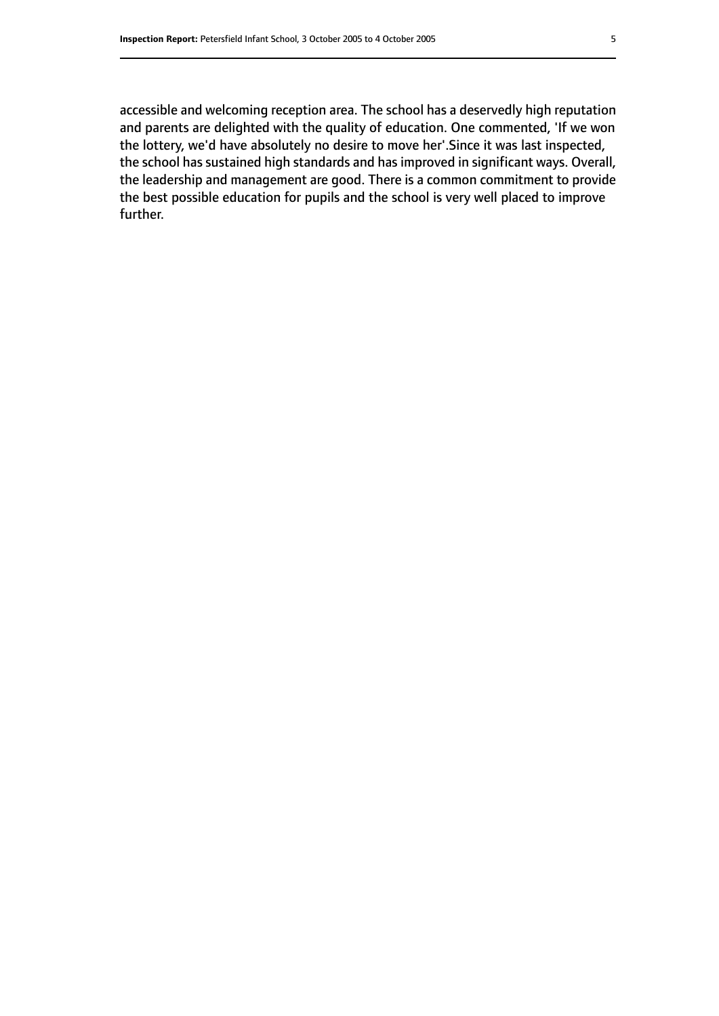accessible and welcoming reception area. The school has a deservedly high reputation and parents are delighted with the quality of education. One commented, 'If we won the lottery, we'd have absolutely no desire to move her'.Since it was last inspected, the school has sustained high standards and has improved in significant ways. Overall, the leadership and management are good. There is a common commitment to provide the best possible education for pupils and the school is very well placed to improve further.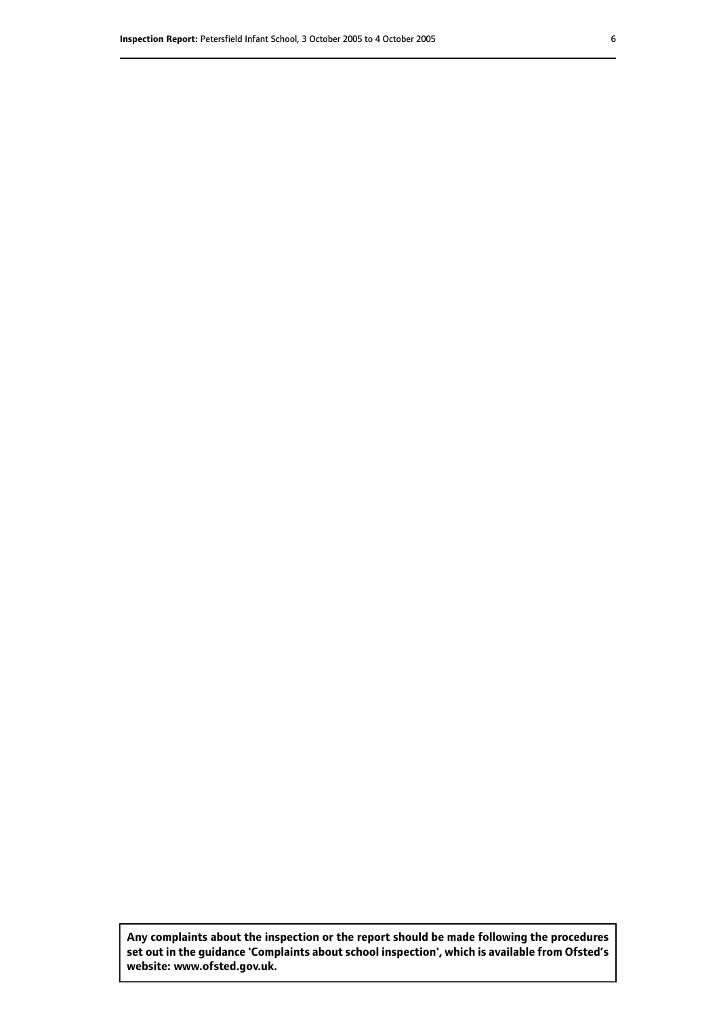**Any complaints about the inspection or the report should be made following the procedures set out inthe guidance 'Complaints about school inspection', whichis available from Ofsted's website: www.ofsted.gov.uk.**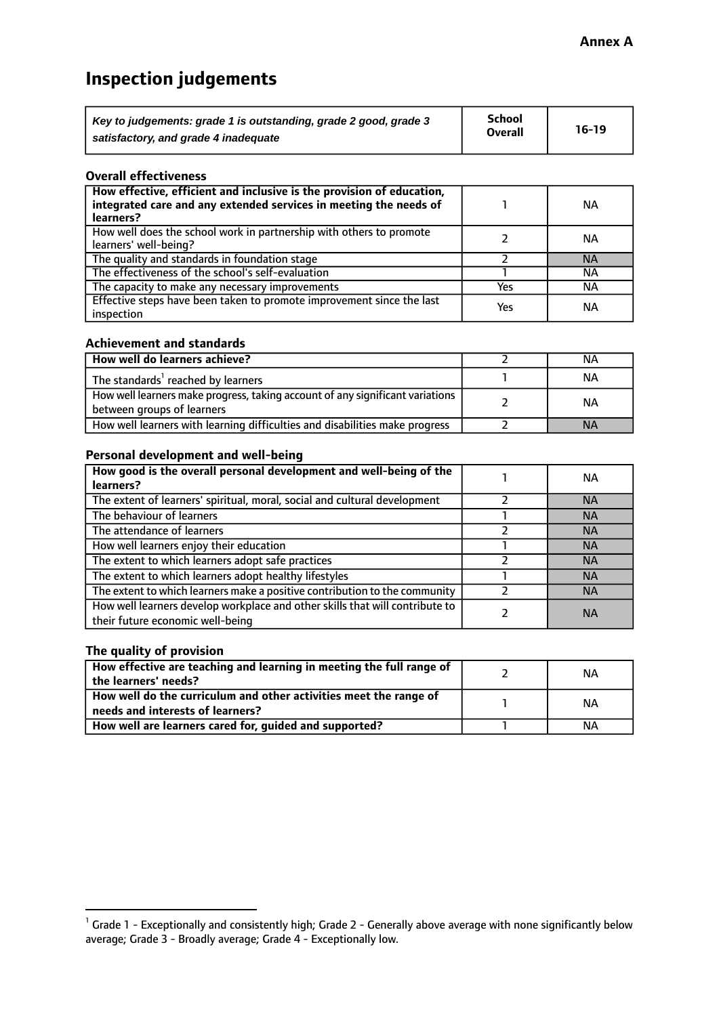## **Inspection judgements**

| Key to judgements: grade 1 is outstanding, grade 2 good, grade 3 | School         | $16-19$ |
|------------------------------------------------------------------|----------------|---------|
| satisfactory, and grade 4 inadequate                             | <b>Overall</b> |         |

#### **Overall effectiveness**

| How effective, efficient and inclusive is the provision of education,<br>integrated care and any extended services in meeting the needs of<br>learners? |     | <b>NA</b> |
|---------------------------------------------------------------------------------------------------------------------------------------------------------|-----|-----------|
| How well does the school work in partnership with others to promote<br>learners' well-being?                                                            |     | NА        |
| The quality and standards in foundation stage                                                                                                           |     | <b>NA</b> |
| The effectiveness of the school's self-evaluation                                                                                                       |     | ΝA        |
| The capacity to make any necessary improvements                                                                                                         | Yes | NА        |
| Effective steps have been taken to promote improvement since the last<br>inspection                                                                     | Yes | ΝA        |

#### **Achievement and standards**

| How well do learners achieve?                                                                               | ΝA        |
|-------------------------------------------------------------------------------------------------------------|-----------|
| The standards <sup>1</sup> reached by learners                                                              | NА        |
| How well learners make progress, taking account of any significant variations<br>between groups of learners | <b>NA</b> |
| How well learners with learning difficulties and disabilities make progress                                 | <b>NA</b> |

#### **Personal development and well-being**

| How good is the overall personal development and well-being of the<br>learners?                                  | ΝA        |
|------------------------------------------------------------------------------------------------------------------|-----------|
| The extent of learners' spiritual, moral, social and cultural development                                        | <b>NA</b> |
| The behaviour of learners                                                                                        | <b>NA</b> |
| The attendance of learners                                                                                       | <b>NA</b> |
| How well learners enjoy their education                                                                          | <b>NA</b> |
| The extent to which learners adopt safe practices                                                                | <b>NA</b> |
| The extent to which learners adopt healthy lifestyles                                                            | <b>NA</b> |
| The extent to which learners make a positive contribution to the community                                       | <b>NA</b> |
| How well learners develop workplace and other skills that will contribute to<br>their future economic well-being | <b>NA</b> |

#### **The quality of provision**

| How effective are teaching and learning in meeting the full range of<br>the learners' needs?          | ΝA |
|-------------------------------------------------------------------------------------------------------|----|
| How well do the curriculum and other activities meet the range of<br>needs and interests of learners? | ΝA |
| How well are learners cared for, guided and supported?                                                | NА |

 $^1$  Grade 1 - Exceptionally and consistently high; Grade 2 - Generally above average with none significantly below average; Grade 3 - Broadly average; Grade 4 - Exceptionally low.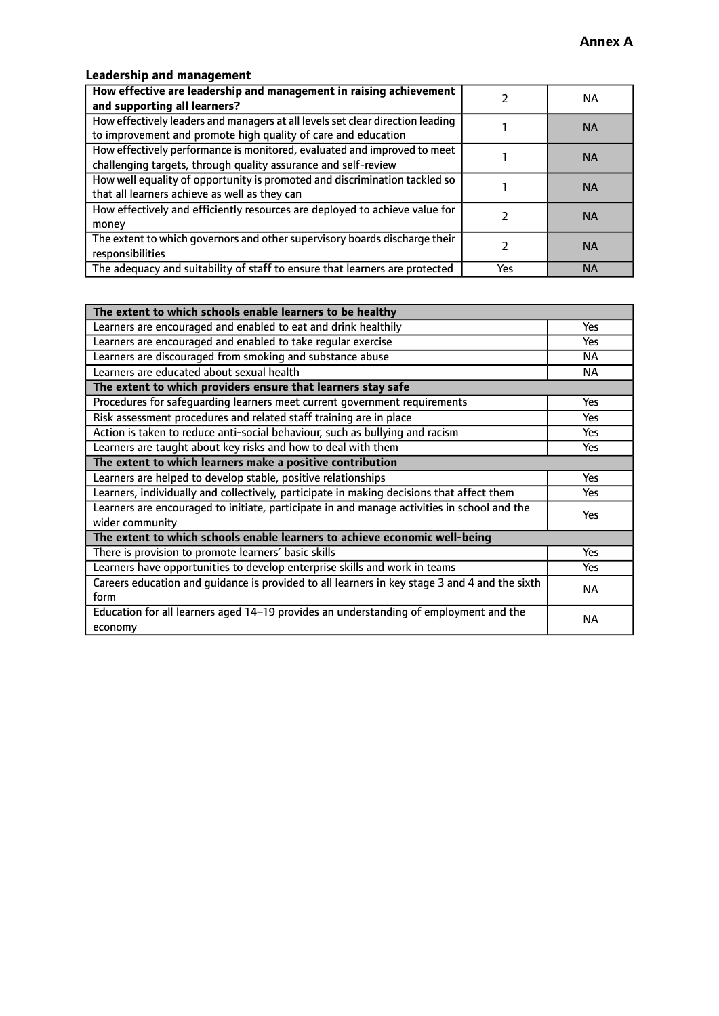## **Leadership and management**

| How effective are leadership and management in raising achievement<br>and supporting all learners?                                              |     | NA.       |
|-------------------------------------------------------------------------------------------------------------------------------------------------|-----|-----------|
| How effectively leaders and managers at all levels set clear direction leading<br>to improvement and promote high quality of care and education |     | <b>NA</b> |
| How effectively performance is monitored, evaluated and improved to meet<br>challenging targets, through quality assurance and self-review      |     | <b>NA</b> |
| How well equality of opportunity is promoted and discrimination tackled so<br>that all learners achieve as well as they can                     |     | <b>NA</b> |
| How effectively and efficiently resources are deployed to achieve value for<br>money                                                            |     | <b>NA</b> |
| The extent to which governors and other supervisory boards discharge their<br>responsibilities                                                  |     | <b>NA</b> |
| The adequacy and suitability of staff to ensure that learners are protected                                                                     | Yes | <b>NA</b> |

| The extent to which schools enable learners to be healthy                                     |            |  |
|-----------------------------------------------------------------------------------------------|------------|--|
| Learners are encouraged and enabled to eat and drink healthily                                | Yes        |  |
| Learners are encouraged and enabled to take regular exercise                                  | <b>Yes</b> |  |
| Learners are discouraged from smoking and substance abuse                                     | <b>NA</b>  |  |
| Learners are educated about sexual health                                                     | NA.        |  |
| The extent to which providers ensure that learners stay safe                                  |            |  |
| Procedures for safequarding learners meet current government requirements                     | Yes        |  |
| Risk assessment procedures and related staff training are in place                            | Yes        |  |
| Action is taken to reduce anti-social behaviour, such as bullying and racism                  | <b>Yes</b> |  |
| Learners are taught about key risks and how to deal with them                                 | Yes        |  |
| The extent to which learners make a positive contribution                                     |            |  |
| Learners are helped to develop stable, positive relationships                                 | Yes        |  |
| Learners, individually and collectively, participate in making decisions that affect them     | Yes        |  |
| Learners are encouraged to initiate, participate in and manage activities in school and the   | <b>Yes</b> |  |
| wider community                                                                               |            |  |
| The extent to which schools enable learners to achieve economic well-being                    |            |  |
| There is provision to promote learners' basic skills                                          | Yes        |  |
| Learners have opportunities to develop enterprise skills and work in teams                    | Yes        |  |
| Careers education and quidance is provided to all learners in key stage 3 and 4 and the sixth | <b>NA</b>  |  |
| form                                                                                          |            |  |
| Education for all learners aged 14-19 provides an understanding of employment and the         | <b>NA</b>  |  |
| economy                                                                                       |            |  |